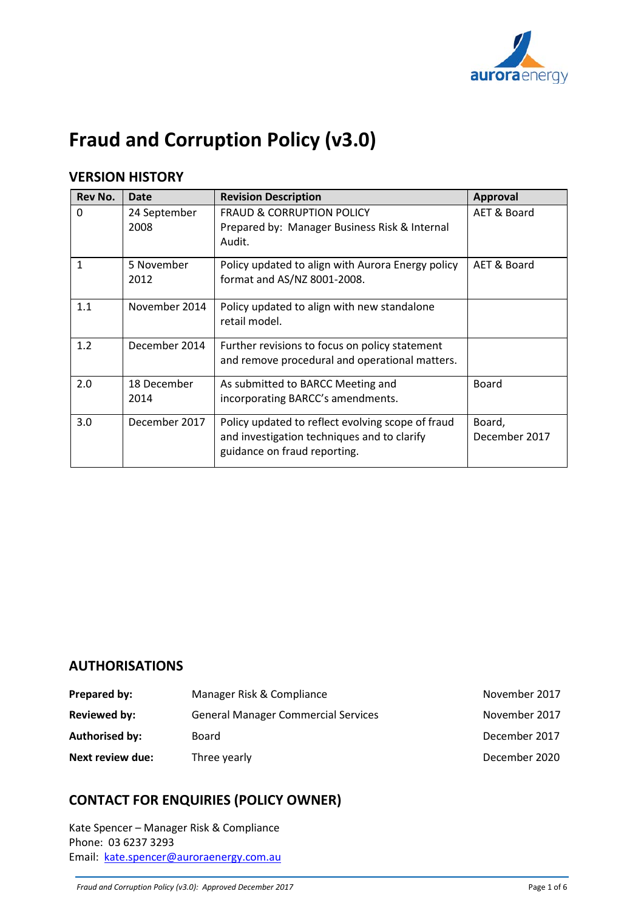

# **Fraud and Corruption Policy (v3.0)**

# **VERSION HISTORY**

| <b>Rev No.</b> | <b>Date</b>          | <b>Revision Description</b>                                                                                                      | <b>Approval</b>         |
|----------------|----------------------|----------------------------------------------------------------------------------------------------------------------------------|-------------------------|
| $\Omega$       | 24 September<br>2008 | <b>FRAUD &amp; CORRUPTION POLICY</b><br>Prepared by: Manager Business Risk & Internal<br>Audit.                                  | AET & Board             |
| 1              | 5 November<br>2012   | Policy updated to align with Aurora Energy policy<br>format and AS/NZ 8001-2008.                                                 | AET & Board             |
| 1.1            | November 2014        | Policy updated to align with new standalone<br>retail model.                                                                     |                         |
| 1.2            | December 2014        | Further revisions to focus on policy statement<br>and remove procedural and operational matters.                                 |                         |
| 2.0            | 18 December<br>2014  | As submitted to BARCC Meeting and<br>incorporating BARCC's amendments.                                                           | <b>Board</b>            |
| 3.0            | December 2017        | Policy updated to reflect evolving scope of fraud<br>and investigation techniques and to clarify<br>guidance on fraud reporting. | Board,<br>December 2017 |

# **AUTHORISATIONS**

| <b>Prepared by:</b>   | Manager Risk & Compliance                  | November 2017 |
|-----------------------|--------------------------------------------|---------------|
| <b>Reviewed by:</b>   | <b>General Manager Commercial Services</b> | November 2017 |
| <b>Authorised by:</b> | Board                                      | December 2017 |
| Next review due:      | Three yearly                               | December 2020 |

# **CONTACT FOR ENQUIRIES (POLICY OWNER)**

Kate Spencer – Manager Risk & Compliance Phone: 03 6237 3293 Email: [kate.spencer@auroraenergy.com.au](mailto:kate.spencer@auroraenergy.com.au)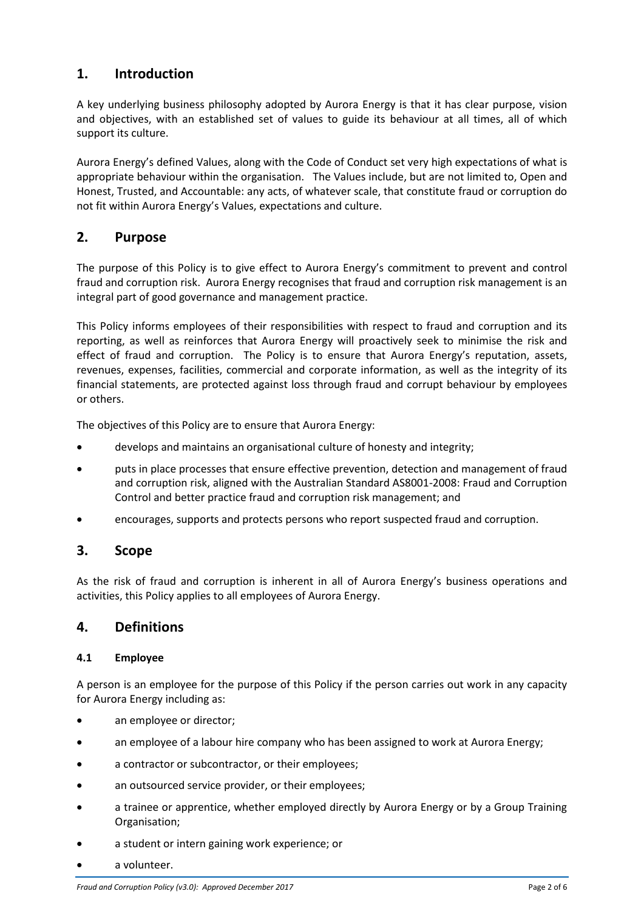# **1. Introduction**

A key underlying business philosophy adopted by Aurora Energy is that it has clear purpose, vision and objectives, with an established set of values to guide its behaviour at all times, all of which support its culture.

Aurora Energy's defined Values, along with the Code of Conduct set very high expectations of what is appropriate behaviour within the organisation. The Values include, but are not limited to, Open and Honest, Trusted, and Accountable: any acts, of whatever scale, that constitute fraud or corruption do not fit within Aurora Energy's Values, expectations and culture.

# **2. Purpose**

The purpose of this Policy is to give effect to Aurora Energy's commitment to prevent and control fraud and corruption risk. Aurora Energy recognises that fraud and corruption risk management is an integral part of good governance and management practice.

This Policy informs employees of their responsibilities with respect to fraud and corruption and its reporting, as well as reinforces that Aurora Energy will proactively seek to minimise the risk and effect of fraud and corruption. The Policy is to ensure that Aurora Energy's reputation, assets, revenues, expenses, facilities, commercial and corporate information, as well as the integrity of its financial statements, are protected against loss through fraud and corrupt behaviour by employees or others.

The objectives of this Policy are to ensure that Aurora Energy:

- develops and maintains an organisational culture of honesty and integrity;
- puts in place processes that ensure effective prevention, detection and management of fraud and corruption risk, aligned with the Australian Standard AS8001-2008: Fraud and Corruption Control and better practice fraud and corruption risk management; and
- encourages, supports and protects persons who report suspected fraud and corruption.

## **3. Scope**

As the risk of fraud and corruption is inherent in all of Aurora Energy's business operations and activities, this Policy applies to all employees of Aurora Energy.

## **4. Definitions**

#### **4.1 Employee**

A person is an employee for the purpose of this Policy if the person carries out work in any capacity for Aurora Energy including as:

- an employee or director;
- an employee of a labour hire company who has been assigned to work at Aurora Energy;
- a contractor or subcontractor, or their employees;
- an outsourced service provider, or their employees;
- a trainee or apprentice, whether employed directly by Aurora Energy or by a Group Training Organisation;
- a student or intern gaining work experience; or
- a volunteer.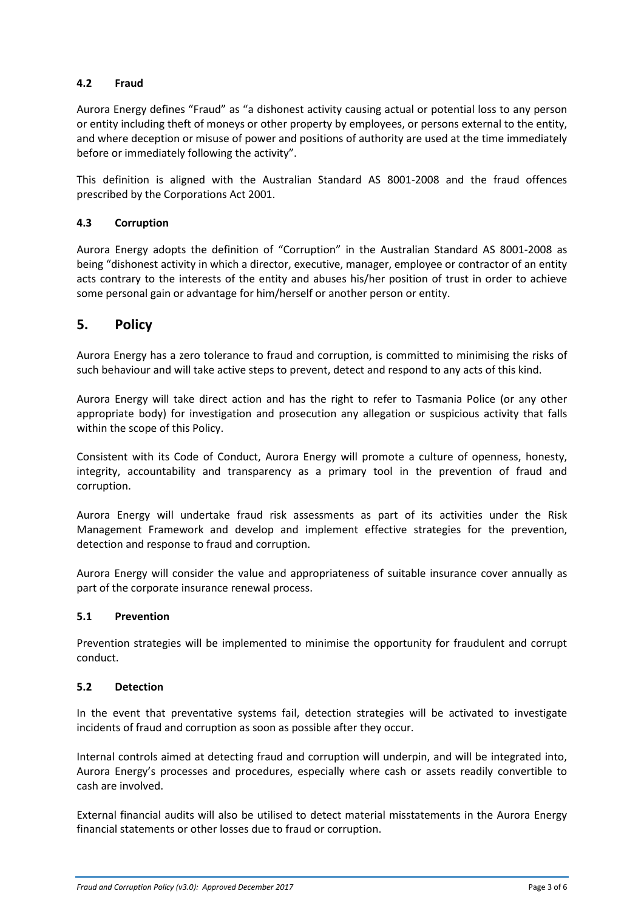#### **4.2 Fraud**

Aurora Energy defines "Fraud" as "a dishonest activity causing actual or potential loss to any person or entity including theft of moneys or other property by employees, or persons external to the entity, and where deception or misuse of power and positions of authority are used at the time immediately before or immediately following the activity".

This definition is aligned with the Australian Standard AS 8001-2008 and the fraud offences prescribed by the Corporations Act 2001.

#### **4.3 Corruption**

Aurora Energy adopts the definition of "Corruption" in the Australian Standard AS 8001-2008 as being "dishonest activity in which a director, executive, manager, employee or contractor of an entity acts contrary to the interests of the entity and abuses his/her position of trust in order to achieve some personal gain or advantage for him/herself or another person or entity.

# **5. Policy**

Aurora Energy has a zero tolerance to fraud and corruption, is committed to minimising the risks of such behaviour and will take active steps to prevent, detect and respond to any acts of this kind.

Aurora Energy will take direct action and has the right to refer to Tasmania Police (or any other appropriate body) for investigation and prosecution any allegation or suspicious activity that falls within the scope of this Policy.

Consistent with its Code of Conduct, Aurora Energy will promote a culture of openness, honesty, integrity, accountability and transparency as a primary tool in the prevention of fraud and corruption.

Aurora Energy will undertake fraud risk assessments as part of its activities under the Risk Management Framework and develop and implement effective strategies for the prevention, detection and response to fraud and corruption.

Aurora Energy will consider the value and appropriateness of suitable insurance cover annually as part of the corporate insurance renewal process.

#### **5.1 Prevention**

Prevention strategies will be implemented to minimise the opportunity for fraudulent and corrupt conduct.

#### **5.2 Detection**

In the event that preventative systems fail, detection strategies will be activated to investigate incidents of fraud and corruption as soon as possible after they occur.

Internal controls aimed at detecting fraud and corruption will underpin, and will be integrated into, Aurora Energy's processes and procedures, especially where cash or assets readily convertible to cash are involved.

External financial audits will also be utilised to detect material misstatements in the Aurora Energy financial statements or other losses due to fraud or corruption.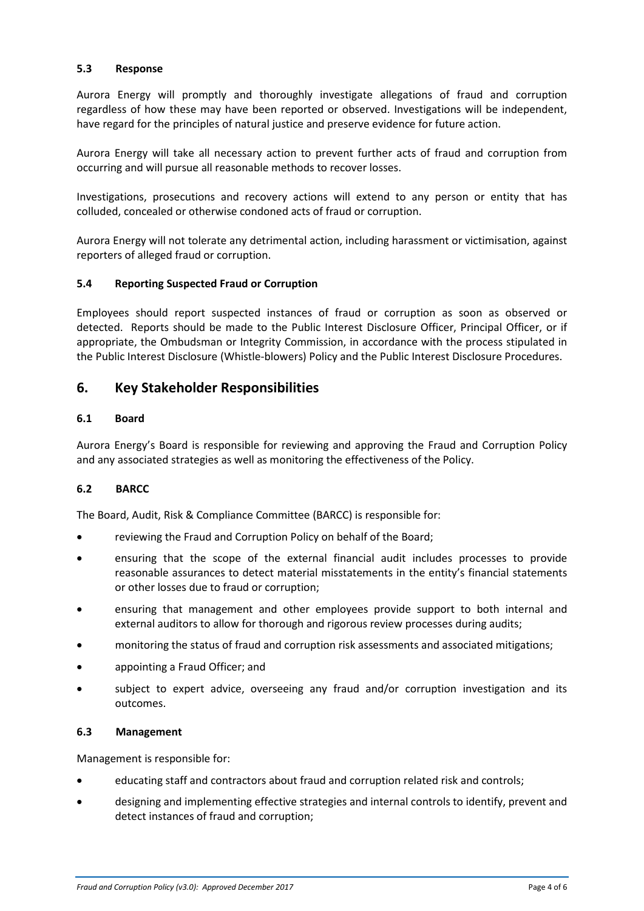#### **5.3 Response**

Aurora Energy will promptly and thoroughly investigate allegations of fraud and corruption regardless of how these may have been reported or observed. Investigations will be independent, have regard for the principles of natural justice and preserve evidence for future action.

Aurora Energy will take all necessary action to prevent further acts of fraud and corruption from occurring and will pursue all reasonable methods to recover losses.

Investigations, prosecutions and recovery actions will extend to any person or entity that has colluded, concealed or otherwise condoned acts of fraud or corruption.

Aurora Energy will not tolerate any detrimental action, including harassment or victimisation, against reporters of alleged fraud or corruption.

#### **5.4 Reporting Suspected Fraud or Corruption**

Employees should report suspected instances of fraud or corruption as soon as observed or detected. Reports should be made to the Public Interest Disclosure Officer, Principal Officer, or if appropriate, the Ombudsman or Integrity Commission, in accordance with the process stipulated in the Public Interest Disclosure (Whistle-blowers) Policy and the Public Interest Disclosure Procedures.

## **6. Key Stakeholder Responsibilities**

#### **6.1 Board**

Aurora Energy's Board is responsible for reviewing and approving the Fraud and Corruption Policy and any associated strategies as well as monitoring the effectiveness of the Policy.

#### **6.2 BARCC**

The Board, Audit, Risk & Compliance Committee (BARCC) is responsible for:

- reviewing the Fraud and Corruption Policy on behalf of the Board;
- ensuring that the scope of the external financial audit includes processes to provide reasonable assurances to detect material misstatements in the entity's financial statements or other losses due to fraud or corruption;
- ensuring that management and other employees provide support to both internal and external auditors to allow for thorough and rigorous review processes during audits;
- monitoring the status of fraud and corruption risk assessments and associated mitigations;
- appointing a Fraud Officer; and
- subject to expert advice, overseeing any fraud and/or corruption investigation and its outcomes.

#### **6.3 Management**

Management is responsible for:

- educating staff and contractors about fraud and corruption related risk and controls;
- designing and implementing effective strategies and internal controls to identify, prevent and detect instances of fraud and corruption;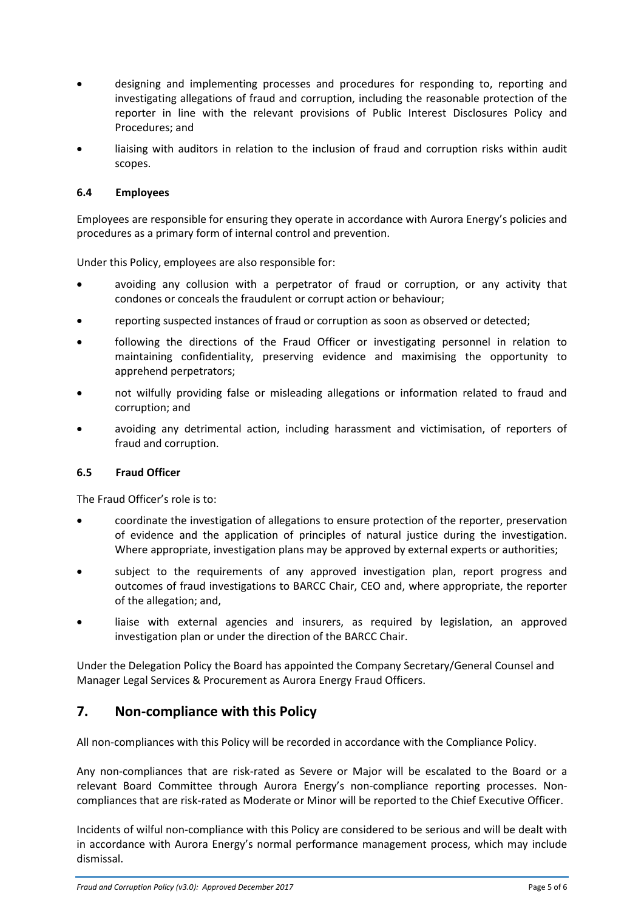- designing and implementing processes and procedures for responding to, reporting and investigating allegations of fraud and corruption, including the reasonable protection of the reporter in line with the relevant provisions of Public Interest Disclosures Policy and Procedures; and
- liaising with auditors in relation to the inclusion of fraud and corruption risks within audit scopes.

#### **6.4 Employees**

Employees are responsible for ensuring they operate in accordance with Aurora Energy's policies and procedures as a primary form of internal control and prevention.

Under this Policy, employees are also responsible for:

- avoiding any collusion with a perpetrator of fraud or corruption, or any activity that condones or conceals the fraudulent or corrupt action or behaviour;
- reporting suspected instances of fraud or corruption as soon as observed or detected;
- following the directions of the Fraud Officer or investigating personnel in relation to maintaining confidentiality, preserving evidence and maximising the opportunity to apprehend perpetrators;
- not wilfully providing false or misleading allegations or information related to fraud and corruption; and
- avoiding any detrimental action, including harassment and victimisation, of reporters of fraud and corruption.

#### **6.5 Fraud Officer**

The Fraud Officer's role is to:

- coordinate the investigation of allegations to ensure protection of the reporter, preservation of evidence and the application of principles of natural justice during the investigation. Where appropriate, investigation plans may be approved by external experts or authorities;
- subject to the requirements of any approved investigation plan, report progress and outcomes of fraud investigations to BARCC Chair, CEO and, where appropriate, the reporter of the allegation; and,
- liaise with external agencies and insurers, as required by legislation, an approved investigation plan or under the direction of the BARCC Chair.

Under the Delegation Policy the Board has appointed the Company Secretary/General Counsel and Manager Legal Services & Procurement as Aurora Energy Fraud Officers.

# **7. Non-compliance with this Policy**

All non-compliances with this Policy will be recorded in accordance with the Compliance Policy.

Any non-compliances that are risk-rated as Severe or Major will be escalated to the Board or a relevant Board Committee through Aurora Energy's non-compliance reporting processes. Noncompliances that are risk-rated as Moderate or Minor will be reported to the Chief Executive Officer.

Incidents of wilful non-compliance with this Policy are considered to be serious and will be dealt with in accordance with Aurora Energy's normal performance management process, which may include dismissal.